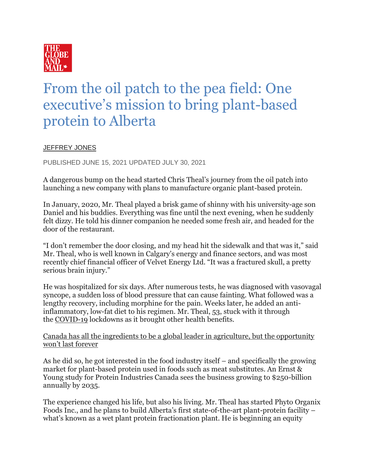

## From the oil patch to the pea field: One executive's mission to bring plant-based protein to Alberta

## **[JEFFREY JONES](https://www.theglobeandmail.com/authors/jeffrey-jones/)**

PUBLISHED JUNE 15, 2021 UPDATED JULY 30, 2021

A dangerous bump on the head started Chris Theal's journey from the oil patch into launching a new company with plans to manufacture organic plant-based protein.

In January, 2020, Mr. Theal played a brisk game of shinny with his university-age son Daniel and his buddies. Everything was fine until the next evening, when he suddenly felt dizzy. He told his dinner companion he needed some fresh air, and headed for the door of the restaurant.

"I don't remember the door closing, and my head hit the sidewalk and that was it," said Mr. Theal, who is well known in Calgary's energy and finance sectors, and was most recently chief financial officer of Velvet Energy Ltd. "It was a fractured skull, a pretty serious brain injury."

He was hospitalized for six days. After numerous tests, he was diagnosed with vasovagal syncope, a sudden loss of blood pressure that can cause fainting. What followed was a lengthy recovery, including morphine for the pain. Weeks later, he added an antiinflammatory, low-fat diet to his regimen. Mr. Theal, 53, stuck with it through the [COVID-19](https://www.theglobeandmail.com/topics/coronavirus/) lockdowns as it brought other health benefits.

[Canada has all the ingredients to be a global leader in agriculture, but the opportunity](https://www.theglobeandmail.com/business/commentary/article-canada-has-all-the-ingredients-to-be-a-global-leader-in-agriculture/)  [won't last forever](https://www.theglobeandmail.com/business/commentary/article-canada-has-all-the-ingredients-to-be-a-global-leader-in-agriculture/)

As he did so, he got interested in the food industry itself – and specifically the growing market for plant-based protein used in foods such as meat substitutes. An Ernst & Young study for Protein Industries Canada sees the business growing to \$250-billion annually by 2035.

The experience changed his life, but also his living. Mr. Theal has started Phyto Organix Foods Inc., and he plans to build Alberta's first state-of-the-art plant-protein facility – what's known as a wet plant protein fractionation plant. He is beginning an equity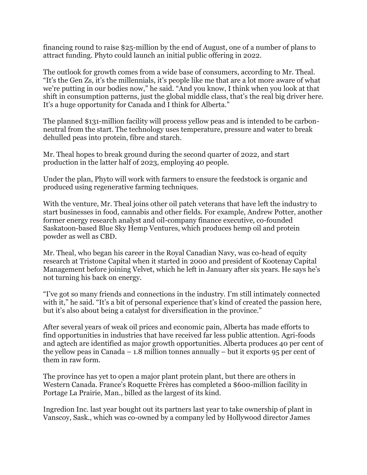financing round to raise \$25-million by the end of August, one of a number of plans to attract funding. Phyto could launch an initial public offering in 2022.

The outlook for growth comes from a wide base of consumers, according to Mr. Theal. "It's the Gen Zs, it's the millennials, it's people like me that are a lot more aware of what we're putting in our bodies now," he said. "And you know, I think when you look at that shift in consumption patterns, just the global middle class, that's the real big driver here. It's a huge opportunity for Canada and I think for Alberta."

The planned \$131-million facility will process yellow peas and is intended to be carbonneutral from the start. The technology uses temperature, pressure and water to break dehulled peas into protein, fibre and starch.

Mr. Theal hopes to break ground during the second quarter of 2022, and start production in the latter half of 2023, employing 40 people.

Under the plan, Phyto will work with farmers to ensure the feedstock is organic and produced using regenerative farming techniques.

With the venture, Mr. Theal joins other oil patch veterans that have left the industry to start businesses in food, cannabis and other fields. For example, Andrew Potter, another former energy research analyst and oil-company finance executive, co-founded Saskatoon-based Blue Sky Hemp Ventures, which produces hemp oil and protein powder as well as CBD.

Mr. Theal, who began his career in the Royal Canadian Navy, was co-head of equity research at Tristone Capital when it started in 2000 and president of Kootenay Capital Management before joining Velvet, which he left in January after six years. He says he's not turning his back on energy.

"I've got so many friends and connections in the industry. I'm still intimately connected with it," he said. "It's a bit of personal experience that's kind of created the passion here, but it's also about being a catalyst for diversification in the province."

After several years of weak oil prices and economic pain, Alberta has made efforts to find opportunities in industries that have received far less public attention. Agri-foods and agtech are identified as major growth opportunities. Alberta produces 40 per cent of the yellow peas in Canada – 1.8 million tonnes annually – but it exports  $95$  per cent of them in raw form.

The province has yet to open a major plant protein plant, but there are others in Western Canada. France's Roquette Frères has completed a \$600-million facility in Portage La Prairie, Man., billed as the largest of its kind.

Ingredion Inc. last year bought out its partners last year to take ownership of plant in Vanscoy, Sask., which was co-owned by a company led by Hollywood director James